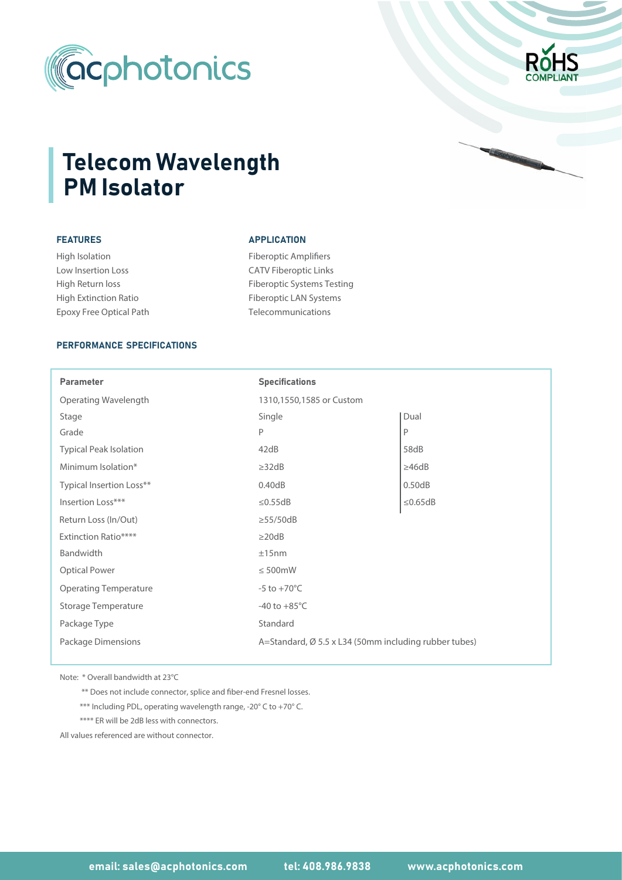



# FEATURES

High Isolation Low Insertion Loss High Return loss High Extinction Ratio Epoxy Free Optical Path

#### APPLICATION

Fiberoptic Amplifiers CATV Fiberoptic Links Fiberoptic Systems Testing Fiberoptic LAN Systems Telecommunications

### PERFORMANCE SPECIFICATIONS

| <b>Parameter</b>              | <b>Specifications</b>                                 |               |  |  |  |
|-------------------------------|-------------------------------------------------------|---------------|--|--|--|
| Operating Wavelength          | 1310,1550,1585 or Custom                              |               |  |  |  |
| Stage                         | Single                                                | Dual          |  |  |  |
| Grade                         | P                                                     | P             |  |  |  |
| <b>Typical Peak Isolation</b> | 42dB                                                  | 58dB          |  |  |  |
| Minimum Isolation*            | $\geq$ 32dB                                           | $\geq 46dB$   |  |  |  |
| Typical Insertion Loss**      | 0.40dB                                                | 0.50dB        |  |  |  |
| Insertion Loss***             | $\leq$ 0.55dB                                         | $\leq$ 0.65dB |  |  |  |
| Return Loss (In/Out)          | $\geq$ 55/50dB                                        |               |  |  |  |
| <b>Extinction Ratio****</b>   | $\geq$ 20dB                                           |               |  |  |  |
| Bandwidth                     | ±15nm                                                 |               |  |  |  |
| <b>Optical Power</b>          | $\leq 500$ mW                                         |               |  |  |  |
| <b>Operating Temperature</b>  | $-5$ to $+70^{\circ}$ C                               |               |  |  |  |
| Storage Temperature           | -40 to $+85^{\circ}$ C                                |               |  |  |  |
| Package Type                  | Standard                                              |               |  |  |  |
| Package Dimensions            | A=Standard, Ø 5.5 x L34 (50mm including rubber tubes) |               |  |  |  |

Note: \* Overall bandwidth at 23°C

\*\* Does not include connector, splice and fiber-end Fresnel losses.

\*\*\* Including PDL, operating wavelength range, -20° C to +70° C.

\*\*\*\* ER will be 2dB less with connectors.

All values referenced are without connector.